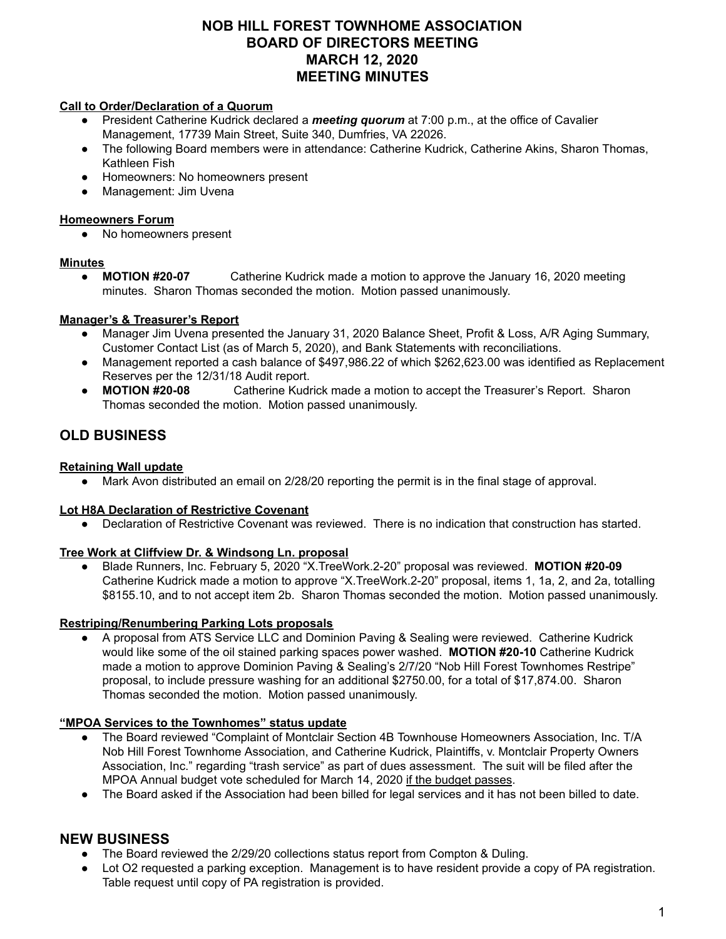# **NOB HILL FOREST TOWNHOME ASSOCIATION BOARD OF DIRECTORS MEETING MARCH 12, 2020 MEETING MINUTES**

#### **Call to Order/Declaration of a Quorum**

- President Catherine Kudrick declared a *meeting quorum* at 7:00 p.m., at the office of Cavalier Management, 17739 Main Street, Suite 340, Dumfries, VA 22026.
- The following Board members were in attendance: Catherine Kudrick, Catherine Akins, Sharon Thomas, Kathleen Fish
- Homeowners: No homeowners present
- Management: Jim Uvena

#### **Homeowners Forum**

No homeowners present

### **Minutes**

● **MOTION #20-07** Catherine Kudrick made a motion to approve the January 16, 2020 meeting minutes. Sharon Thomas seconded the motion. Motion passed unanimously.

# **Manager's & Treasurer's Report**

- Manager Jim Uvena presented the January 31, 2020 Balance Sheet, Profit & Loss, A/R Aging Summary, Customer Contact List (as of March 5, 2020), and Bank Statements with reconciliations.
- Management reported a cash balance of \$497,986.22 of which \$262,623.00 was identified as Replacement Reserves per the 12/31/18 Audit report.
- **MOTION #20-08** Catherine Kudrick made a motion to accept the Treasurer's Report. Sharon Thomas seconded the motion. Motion passed unanimously.

# **OLD BUSINESS**

## **Retaining Wall update**

Mark Avon distributed an email on 2/28/20 reporting the permit is in the final stage of approval.

#### **Lot H8A Declaration of Restrictive Covenant**

Declaration of Restrictive Covenant was reviewed. There is no indication that construction has started.

#### **Tree Work at Cliffview Dr. & Windsong Ln. proposal**

● Blade Runners, Inc. February 5, 2020 "X.TreeWork.2-20" proposal was reviewed. **MOTION #20-09** Catherine Kudrick made a motion to approve "X.TreeWork.2-20" proposal, items 1, 1a, 2, and 2a, totalling \$8155.10, and to not accept item 2b. Sharon Thomas seconded the motion. Motion passed unanimously.

#### **Restriping/Renumbering Parking Lots proposals**

A proposal from ATS Service LLC and Dominion Paving & Sealing were reviewed. Catherine Kudrick would like some of the oil stained parking spaces power washed. **MOTION #20-10** Catherine Kudrick made a motion to approve Dominion Paving & Sealing's 2/7/20 "Nob Hill Forest Townhomes Restripe" proposal, to include pressure washing for an additional \$2750.00, for a total of \$17,874.00. Sharon Thomas seconded the motion. Motion passed unanimously.

#### **"MPOA Services to the Townhomes" status update**

- The Board reviewed "Complaint of Montclair Section 4B Townhouse Homeowners Association, Inc. T/A Nob Hill Forest Townhome Association, and Catherine Kudrick, Plaintiffs, v. Montclair Property Owners Association, Inc." regarding "trash service" as part of dues assessment. The suit will be filed after the MPOA Annual budget vote scheduled for March 14, 2020 if the budget passes.
- The Board asked if the Association had been billed for legal services and it has not been billed to date.

# **NEW BUSINESS**

- The Board reviewed the 2/29/20 collections status report from Compton & Duling.
- Lot O2 requested a parking exception. Management is to have resident provide a copy of PA registration. Table request until copy of PA registration is provided.